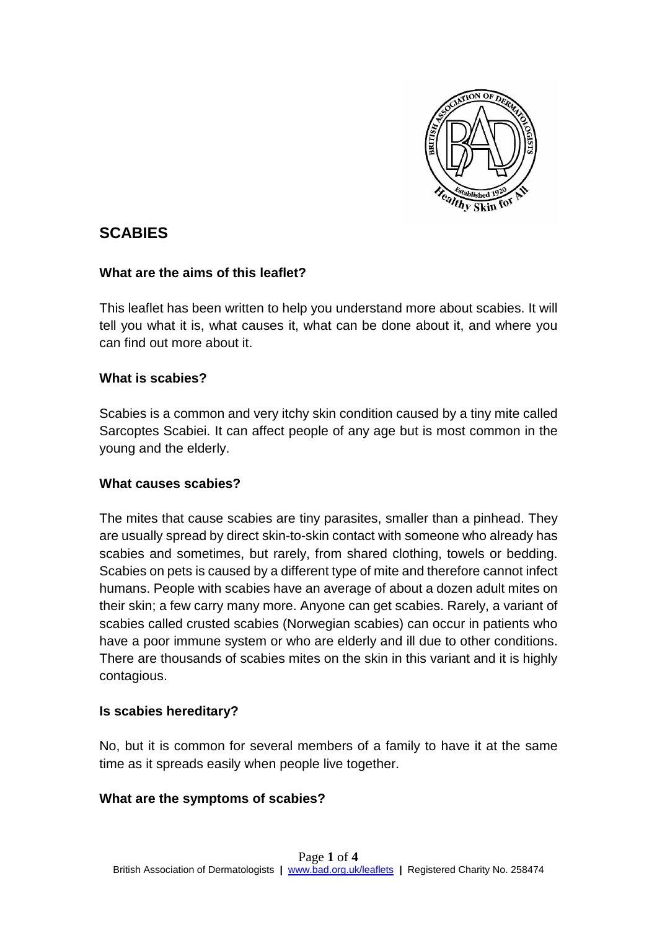

# **SCABIES**

### **What are the aims of this leaflet?**

This leaflet has been written to help you understand more about scabies. It will tell you what it is, what causes it, what can be done about it, and where you can find out more about it.

## **What is scabies?**

Scabies is a common and very itchy skin condition caused by a tiny mite called Sarcoptes Scabiei. It can affect people of any age but is most common in the young and the elderly.

## **What causes scabies?**

The mites that cause scabies are tiny parasites, smaller than a pinhead. They are usually spread by direct skin-to-skin contact with someone who already has scabies and sometimes, but rarely, from shared clothing, towels or bedding. Scabies on pets is caused by a different type of mite and therefore cannot infect humans. People with scabies have an average of about a dozen adult mites on their skin; a few carry many more. Anyone can get scabies. Rarely, a variant of scabies called crusted scabies (Norwegian scabies) can occur in patients who have a poor immune system or who are elderly and ill due to other conditions. There are thousands of scabies mites on the skin in this variant and it is highly contagious.

## **Is scabies hereditary?**

No, but it is common for several members of a family to have it at the same time as it spreads easily when people live together.

#### **What are the symptoms of scabies?**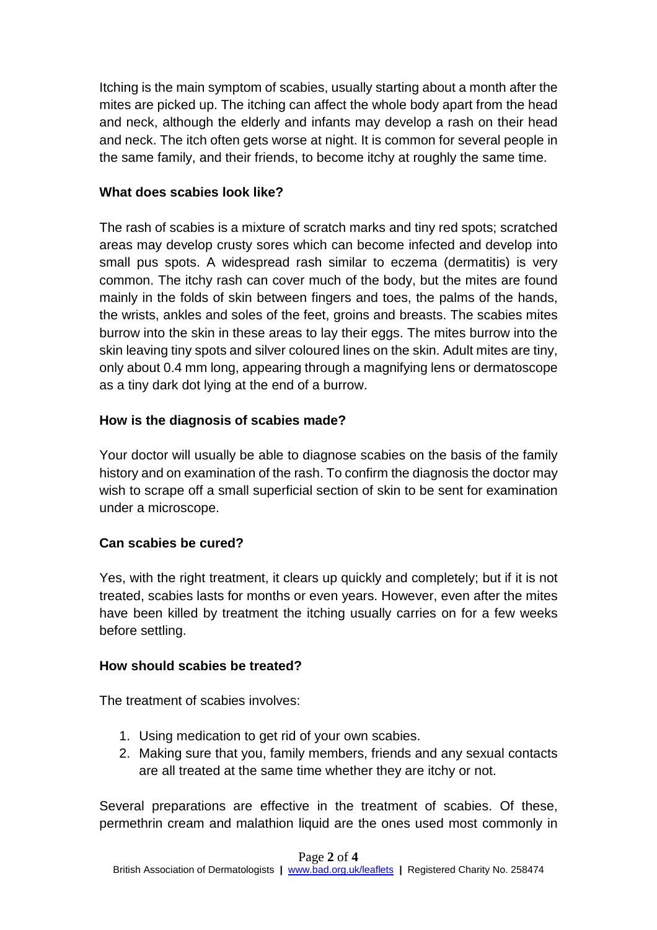Itching is the main symptom of scabies, usually starting about a month after the mites are picked up. The itching can affect the whole body apart from the head and neck, although the elderly and infants may develop a rash on their head and neck. The itch often gets worse at night. It is common for several people in the same family, and their friends, to become itchy at roughly the same time.

## **What does scabies look like?**

The rash of scabies is a mixture of scratch marks and tiny red spots; scratched areas may develop crusty sores which can become infected and develop into small pus spots. A widespread rash similar to eczema (dermatitis) is very common. The itchy rash can cover much of the body, but the mites are found mainly in the folds of skin between fingers and toes, the palms of the hands, the wrists, ankles and soles of the feet, groins and breasts. The scabies mites burrow into the skin in these areas to lay their eggs. The mites burrow into the skin leaving tiny spots and silver coloured lines on the skin. Adult mites are tiny, only about 0.4 mm long, appearing through a magnifying lens or dermatoscope as a tiny dark dot lying at the end of a burrow.

## **How is the diagnosis of scabies made?**

Your doctor will usually be able to diagnose scabies on the basis of the family history and on examination of the rash. To confirm the diagnosis the doctor may wish to scrape off a small superficial section of skin to be sent for examination under a microscope.

## **Can scabies be cured?**

Yes, with the right treatment, it clears up quickly and completely; but if it is not treated, scabies lasts for months or even years. However, even after the mites have been killed by treatment the itching usually carries on for a few weeks before settling.

## **How should scabies be treated?**

The treatment of scabies involves:

- 1. Using medication to get rid of your own scabies.
- 2. Making sure that you, family members, friends and any sexual contacts are all treated at the same time whether they are itchy or not.

Several preparations are effective in the treatment of scabies. Of these, permethrin cream and malathion liquid are the ones used most commonly in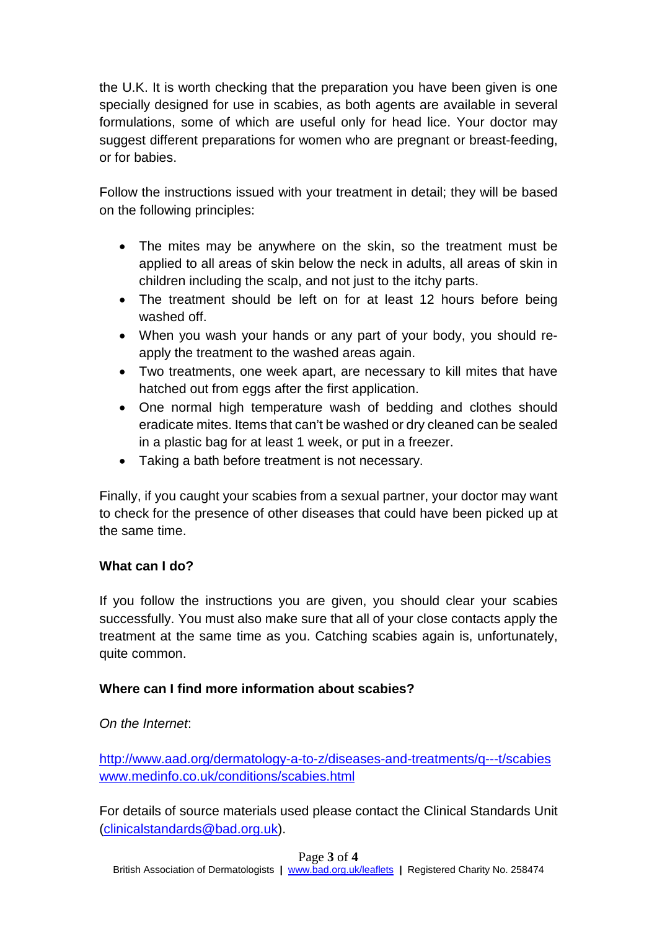the U.K. It is worth checking that the preparation you have been given is one specially designed for use in scabies, as both agents are available in several formulations, some of which are useful only for head lice. Your doctor may suggest different preparations for women who are pregnant or breast-feeding, or for babies.

Follow the instructions issued with your treatment in detail; they will be based on the following principles:

- The mites may be anywhere on the skin, so the treatment must be applied to all areas of skin below the neck in adults, all areas of skin in children including the scalp, and not just to the itchy parts.
- The treatment should be left on for at least 12 hours before being washed off.
- When you wash your hands or any part of your body, you should reapply the treatment to the washed areas again.
- Two treatments, one week apart, are necessary to kill mites that have hatched out from eggs after the first application.
- One normal high temperature wash of bedding and clothes should eradicate mites. Items that can't be washed or dry cleaned can be sealed in a plastic bag for at least 1 week, or put in a freezer.
- Taking a bath before treatment is not necessary.

Finally, if you caught your scabies from a sexual partner, your doctor may want to check for the presence of other diseases that could have been picked up at the same time.

## **What can I do?**

If you follow the instructions you are given, you should clear your scabies successfully. You must also make sure that all of your close contacts apply the treatment at the same time as you. Catching scabies again is, unfortunately, quite common.

## **Where can I find more information about scabies?**

## *On the Internet*:

<http://www.aad.org/dermatology-a-to-z/diseases-and-treatments/q---t/scabies> [www.medinfo.co.uk/conditions/scabies.html](http://www.medinfo.co.uk/conditions/scabies.html)

For details of source materials used please contact the Clinical Standards Unit [\(clinicalstandards@bad.org.uk\)](mailto:clinicalstandards@bad.org.uk).

#### Page **3** of **4**

British Association of Dermatologists **|** [www.bad.org.uk/leaflets](http://www.bad.org.uk/leaflets) **|** Registered Charity No. 258474